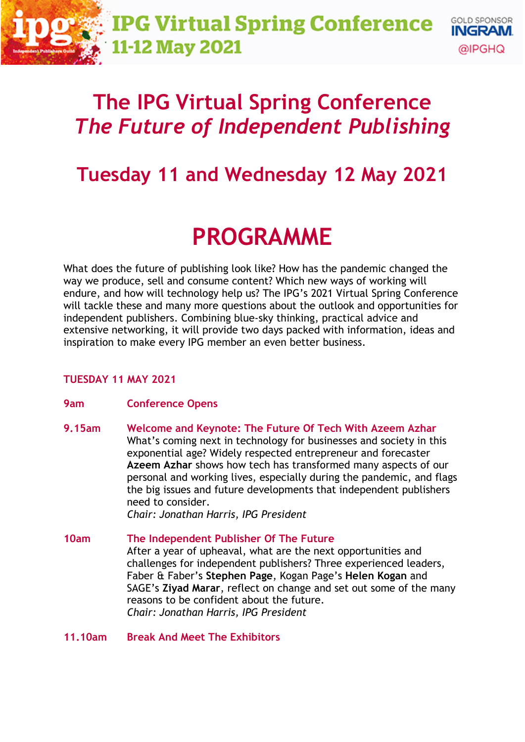# **The IPG Virtual Spring Conference** *The Future of Independent Publishing*

# **Tuesday 11 and Wednesday 12 May 2021**

# **PROGRAMME**

What does the future of publishing look like? How has the pandemic changed the way we produce, sell and consume content? Which new ways of working will endure, and how will technology help us? The IPG's 2021 Virtual Spring Conference will tackle these and many more questions about the outlook and opportunities for independent publishers. Combining blue-sky thinking, practical advice and extensive networking, it will provide two days packed with information, ideas and inspiration to make every IPG member an even better business.

# **TUESDAY 11 MAY 2021**

# **9am Conference Opens**

**9.15am Welcome and Keynote: The Future Of Tech With Azeem Azhar**  What's coming next in technology for businesses and society in this exponential age? Widely respected entrepreneur and forecaster **Azeem Azhar** shows how tech has transformed many aspects of our personal and working lives, especially during the pandemic, and flags the big issues and future developments that independent publishers need to consider.

*Chair: Jonathan Harris, IPG President*

**10am The Independent Publisher Of The Future** After a year of upheaval, what are the next opportunities and challenges for independent publishers? Three experienced leaders, Faber & Faber's **Stephen Page**, Kogan Page's **Helen Kogan** and SAGE's **Ziyad Marar**, reflect on change and set out some of the many reasons to be confident about the future. *Chair: Jonathan Harris, IPG President*

## **11.10am Break And Meet The Exhibitors**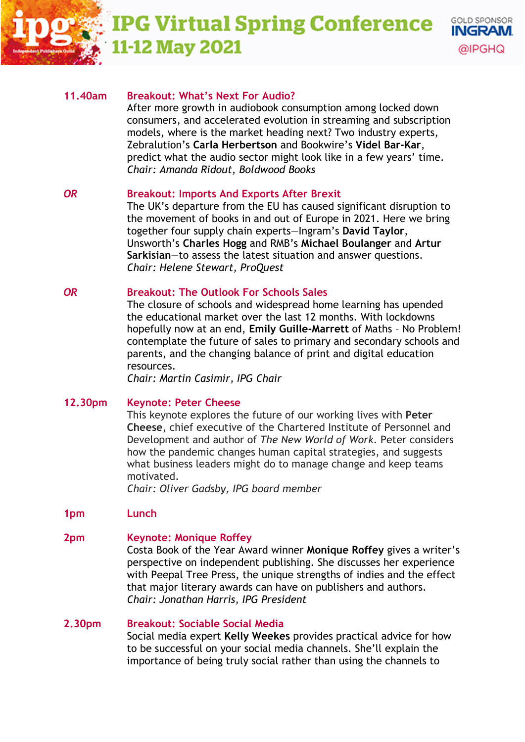# **IPG Virtual Spring Conference -12 May 2021**



After more growth in audiobook consumption among locked down consumers, and accelerated evolution in streaming and subscription models, where is the market heading next? Two industry experts, Zebralution's **Carla Herbertson** and Bookwire's **Videl Bar-Kar**, predict what the audio sector might look like in a few years' time. *Chair: Amanda Ridout, Boldwood Books*

**GOLD SPONSOR** INGRAM.

@IPGHQ

# *OR* **Breakout: Imports And Exports After Brexit**

The UK's departure from the EU has caused significant disruption to the movement of books in and out of Europe in 2021. Here we bring together four supply chain experts—Ingram's **David Taylor**, Unsworth's **Charles Hogg** and RMB's **Michael Boulanger** and **Artur Sarkisian**—to assess the latest situation and answer questions. *Chair: Helene Stewart, ProQuest*

# *OR* **Breakout: The Outlook For Schools Sales**

The closure of schools and widespread home learning has upended the educational market over the last 12 months. With lockdowns hopefully now at an end, **Emily Guille-Marrett** of Maths – No Problem! contemplate the future of sales to primary and secondary schools and parents, and the changing balance of print and digital education resources.

*Chair: Martin Casimir, IPG Chair*

## **12.30pm Keynote: Peter Cheese**

This keynote explores the future of our working lives with **Peter Cheese**, chief executive of the Chartered Institute of Personnel and Development and author of *The New World of Work*. Peter considers how the pandemic changes human capital strategies, and suggests what business leaders might do to manage change and keep teams motivated.

*Chair: Oliver Gadsby, IPG board member*

## **1pm Lunch**

## **2pm Keynote: Monique Roffey**

Costa Book of the Year Award winner **Monique Roffey** gives a writer's perspective on independent publishing. She discusses her experience with Peepal Tree Press, the unique strengths of indies and the effect that major literary awards can have on publishers and authors. *Chair: Jonathan Harris, IPG President*

## **2.30pm Breakout: Sociable Social Media**

Social media expert **Kelly Weekes** provides practical advice for how to be successful on your social media channels. She'll explain the importance of being truly social rather than using the channels to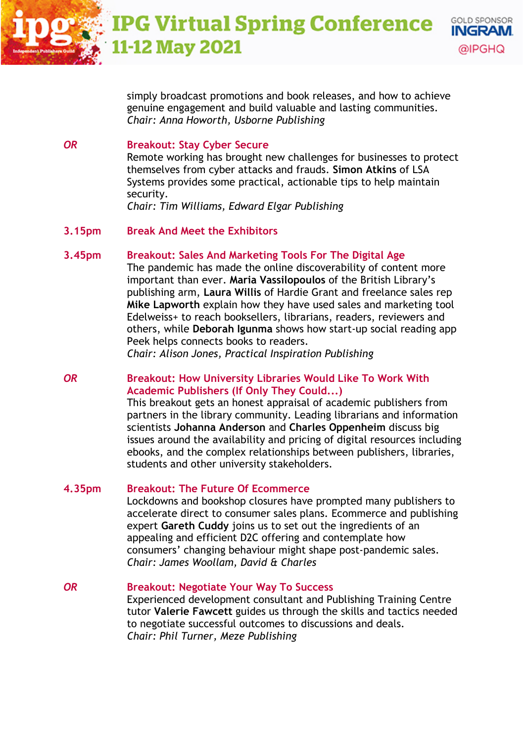simply broadcast promotions and book releases, and how to achieve genuine engagement and build valuable and lasting communities. *Chair: Anna Howorth, Usborne Publishing*

**GOLD SPONSOR** INGRAM.

@IPGHQ

#### *OR* **Breakout: Stay Cyber Secure**

Remote working has brought new challenges for businesses to protect themselves from cyber attacks and frauds. **Simon Atkins** of LSA Systems provides some practical, actionable tips to help maintain security.

*Chair: Tim Williams, Edward Elgar Publishing*

## **3.15pm Break And Meet the Exhibitors**

## **3.45pm Breakout: Sales And Marketing Tools For The Digital Age**

The pandemic has made the online discoverability of content more important than ever. **Maria Vassilopoulos** of the British Library's publishing arm, **Laura Willis** of Hardie Grant and freelance sales rep **Mike Lapworth** explain how they have used sales and marketing tool Edelweiss+ to reach booksellers, librarians, readers, reviewers and others, while **Deborah Igunma** shows how start-up social reading app Peek helps connects books to readers.

*Chair: Alison Jones, Practical Inspiration Publishing*

## *OR* **Breakout: How University Libraries Would Like To Work With Academic Publishers (If Only They Could...)**

This breakout gets an honest appraisal of academic publishers from partners in the library community. Leading librarians and information scientists **Johanna Anderson** and **Charles Oppenheim** discuss big issues around the availability and pricing of digital resources including ebooks, and the complex relationships between publishers, libraries, students and other university stakeholders.

#### **4.35pm Breakout: The Future Of Ecommerce**

Lockdowns and bookshop closures have prompted many publishers to accelerate direct to consumer sales plans. Ecommerce and publishing expert **Gareth Cuddy** joins us to set out the ingredients of an appealing and efficient D2C offering and contemplate how consumers' changing behaviour might shape post-pandemic sales. *Chair: James Woollam, David & Charles*

#### *OR* **Breakout: Negotiate Your Way To Success**

Experienced development consultant and Publishing Training Centre tutor **Valerie Fawcett** guides us through the skills and tactics needed to negotiate successful outcomes to discussions and deals. *Chair: Phil Turner, Meze Publishing*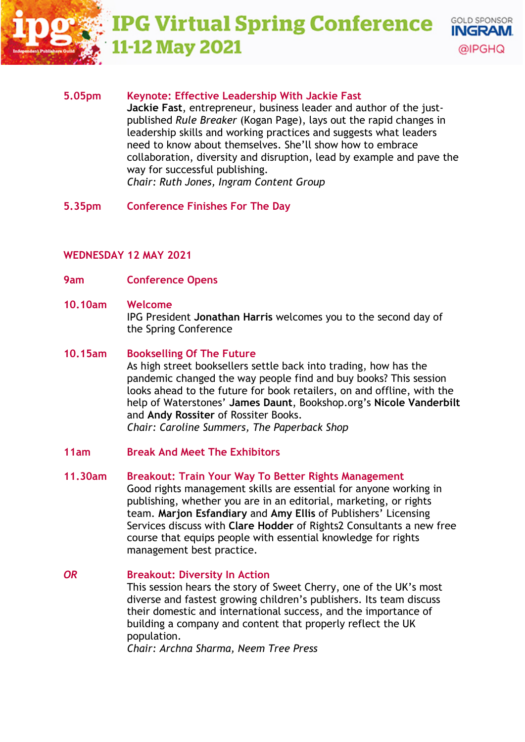#### **IPG Virtual Spring Conference GOLD SPONSOR** INGRAM. **-12 May 2021** @IPGHQ

# **5.05pm Keynote: Effective Leadership With Jackie Fast Jackie Fast**, entrepreneur, business leader and author of the just-

published *Rule Breaker* (Kogan Page), lays out the rapid changes in leadership skills and working practices and suggests what leaders need to know about themselves. She'll show how to embrace collaboration, diversity and disruption, lead by example and pave the way for successful publishing. *Chair: Ruth Jones, Ingram Content Group*

**5.35pm Conference Finishes For The Day**

# **WEDNESDAY 12 MAY 2021**

**9am Conference Opens**

# **10.10am Welcome**

IPG President **Jonathan Harris** welcomes you to the second day of the Spring Conference

# **10.15am Bookselling Of The Future**

As high street booksellers settle back into trading, how has the pandemic changed the way people find and buy books? This session looks ahead to the future for book retailers, on and offline, with the help of Waterstones' **James Daunt**, Bookshop.org's **Nicole Vanderbilt** and **Andy Rossiter** of Rossiter Books.

*Chair: Caroline Summers, The Paperback Shop*

# **11am Break And Meet The Exhibitors**

# **11.30am Breakout: Train Your Way To Better Rights Management**

Good rights management skills are essential for anyone working in publishing, whether you are in an editorial, marketing, or rights team. **Marjon Esfandiary** and **Amy Ellis** of Publishers' Licensing Services discuss with **Clare Hodder** of Rights2 Consultants a new free course that equips people with essential knowledge for rights management best practice.

#### *OR* **Breakout: Diversity In Action** This session hears the story of Sweet Cherry, one of the UK's most diverse and fastest growing children's publishers. Its team discuss their domestic and international success, and the importance of building a company and content that properly reflect the UK population. *Chair: Archna Sharma, Neem Tree Press*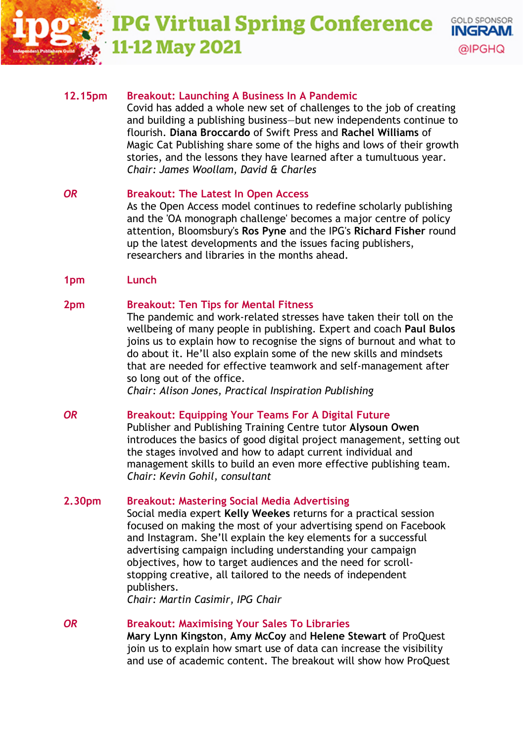**IPG Virtual Spring Conference GOLD SPONSOR** INGRAM. **-12 May 2021** 

#### **12.15pm Breakout: Launching A Business In A Pandemic**

Covid has added a whole new set of challenges to the job of creating and building a publishing business—but new independents continue to flourish. **Diana Broccardo** of Swift Press and **Rachel Williams** of Magic Cat Publishing share some of the highs and lows of their growth stories, and the lessons they have learned after a tumultuous year. *Chair: James Woollam, David & Charles* 

@IPGHQ

## *OR* **Breakout: The Latest In Open Access**

As the Open Access model continues to redefine scholarly publishing and the 'OA monograph challenge' becomes a major centre of policy attention, Bloomsbury's **Ros Pyne** and the IPG's **Richard Fisher** round up the latest developments and the issues facing publishers, researchers and libraries in the months ahead.

**1pm Lunch**

#### **2pm Breakout: Ten Tips for Mental Fitness**

The pandemic and work-related stresses have taken their toll on the wellbeing of many people in publishing. Expert and coach **Paul Bulos** joins us to explain how to recognise the signs of burnout and what to do about it. He'll also explain some of the new skills and mindsets that are needed for effective teamwork and self-management after so long out of the office.

*Chair: Alison Jones, Practical Inspiration Publishing*

## *OR* **Breakout: Equipping Your Teams For A Digital Future**

Publisher and Publishing Training Centre tutor **Alysoun Owen** introduces the basics of good digital project management, setting out the stages involved and how to adapt current individual and management skills to build an even more effective publishing team. *Chair: Kevin Gohil, consultant*

#### **2.30pm Breakout: Mastering Social Media Advertising**

Social media expert **Kelly Weekes** returns for a practical session focused on making the most of your advertising spend on Facebook and Instagram. She'll explain the key elements for a successful advertising campaign including understanding your campaign objectives, how to target audiences and the need for scrollstopping creative, all tailored to the needs of independent publishers.

*Chair: Martin Casimir, IPG Chair* 

*OR* **Breakout: Maximising Your Sales To Libraries Mary Lynn Kingston**, **Amy McCoy** and **Helene Stewart** of ProQuest join us to explain how smart use of data can increase the visibility and use of academic content. The breakout will show how ProQuest